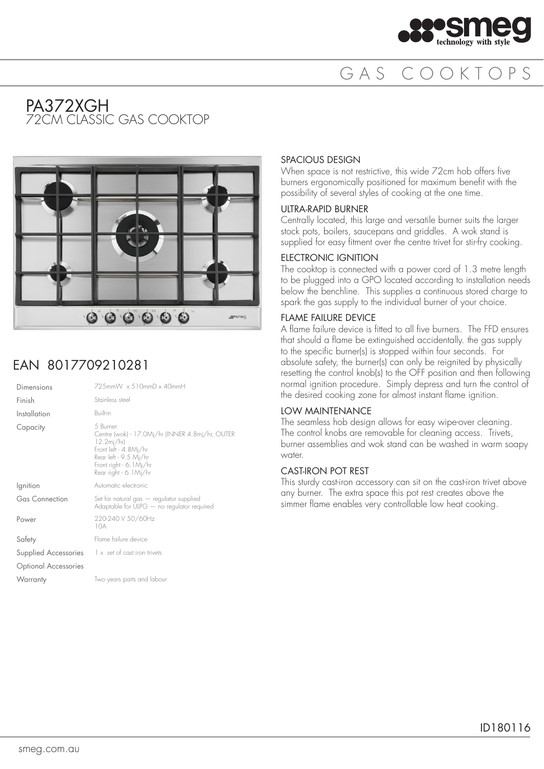

## GAS COOKTOPS

### PA372XGH 72CM CLASSIC GAS COOKTOP



## EAN 8017709210281

| $725$ mm $W \times 510$ mm $D \times 40$ mm $H$                                                                                                                                            |
|--------------------------------------------------------------------------------------------------------------------------------------------------------------------------------------------|
| Stainless steel                                                                                                                                                                            |
| <b>Built-in</b>                                                                                                                                                                            |
| 5 Burner<br>Centre (wok) - 17.0Mj/hr (INNER 4.8mj/hr, OUTER<br>$12.2\,\mathrm{mj/hr}$<br>Front left - 4.8Mj/hr<br>Rear left - 9.5 Mi/hr<br>Front right - 6.1Mi/hr<br>Rear right - 6.1Mi/hr |
| Automatic electronic                                                                                                                                                                       |
| Set for natural gas - regulator supplied<br>Adaptable for ULPG $-$ no regulator required                                                                                                   |
| 220-240 V 50/60Hz<br>10A                                                                                                                                                                   |
| Flame failure device                                                                                                                                                                       |
| $\frac{1}{1}$ x set of cast iron trivets                                                                                                                                                   |
|                                                                                                                                                                                            |
| Two years parts and labour                                                                                                                                                                 |
|                                                                                                                                                                                            |

#### SPACIOUS DESIGN

When space is not restrictive, this wide 72cm hob offers five burners ergonomically positioned for maximum benefit with the possibility of several styles of cooking at the one time.

#### ULTRA-RAPID BURNER

Centrally located, this large and versatile burner suits the larger stock pots, boilers, saucepans and griddles. A wok stand is supplied for easy fitment over the centre trivet for stir-fry cooking.

#### ELECTRONIC IGNITION

The cooktop is connected with a power cord of 1.3 metre length to be plugged into a GPO located according to installation needs below the benchline. This supplies a continuous stored charge to spark the gas supply to the individual burner of your choice.

#### FLAME FAILURE DEVICE

A flame failure device is fitted to all five burners. The FFD ensures that should a flame be extinguished accidentally. the gas supply to the specific burner(s) is stopped within four seconds. For absolute safety, the burner(s) can only be reignited by physically resetting the control knob(s) to the OFF position and then following normal ignition procedure. Simply depress and turn the control of the desired cooking zone for almost instant flame ignition.

#### LOW MAINTENANCE

The seamless hob design allows for easy wipe-over cleaning. The control knobs are removable for cleaning access. Trivets, burner assemblies and wok stand can be washed in warm soapy water.

#### CAST-IRON POT REST

This sturdy cast-iron accessory can sit on the cast-iron trivet above any burner. The extra space this pot rest creates above the simmer flame enables very controllable low heat cooking.